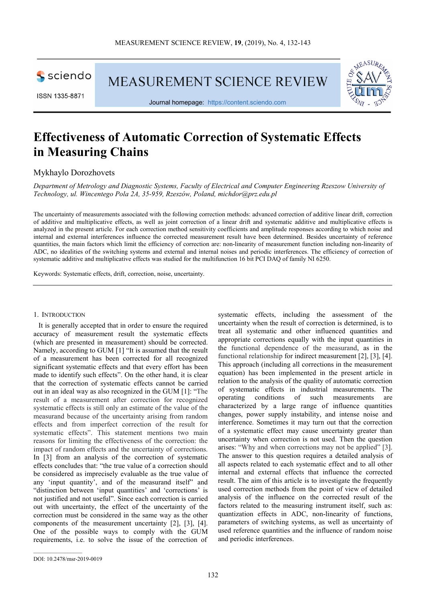

ISSN 1335-8871

**MEASUREMENT SCIENCE REVIEW** 



Journal homepage: https://content.sciendo.com

# **Effectiveness of Automatic Correction of Systematic Effects in Measuring Chains**

Mykhaylo Dorozhovets

*Department of Metrology and Diagnostic Systems, Faculty of Electrical and Computer Engineering Rzeszow University of Technology, ul. Wincentego Pola 2A, 35-959, Rzeszów, Poland, michdor@prz.edu.pl* 

The uncertainty of measurements associated with the following correction methods: advanced correction of additive linear drift, correction of additive and multiplicative effects, as well as joint correction of a linear drift and systematic additive and multiplicative effects is analyzed in the present article. For each correction method sensitivity coefficients and amplitude responses according to which noise and internal and external interferences influence the corrected measurement result have been determined. Besides uncertainty of reference quantities, the main factors which limit the efficiency of correction are: non-linearity of measurement function including non-linearity of ADC, no idealities of the switching systems and external and internal noises and periodic interferences. The efficiency of correction of systematic additive and multiplicative effects was studied for the multifunction 16 bit PCI DAQ of family NI 6250.

Keywords: Systematic effects, drift, correction, noise, uncertainty.

#### 1. INTRODUCTION

It is generally accepted that in order to ensure the required accuracy of measurement result the systematic effects (which are presented in measurement) should be corrected. Namely, according to GUM [1] "It is assumed that the result of a measurement has been corrected for all recognized significant systematic effects and that every effort has been made to identify such effects". On the other hand, it is clear that the correction of systematic effects cannot be carried out in an ideal way as also recognized in the GUM [1]: "The result of a measurement after correction for recognized systematic effects is still only an estimate of the value of the measurand because of the uncertainty arising from random effects and from imperfect correction of the result for systematic effects". This statement mentions two main reasons for limiting the effectiveness of the correction: the impact of random effects and the uncertainty of corrections. In [3] from an analysis of the correction of systematic effects concludes that: "the true value of a correction should be considered as imprecisely evaluable as the true value of any 'input quantity', and of the measurand itself" and "distinction between 'input quantities' and 'corrections' is not justified and not useful". Since each correction is carried out with uncertainty, the effect of the uncertainty of the correction must be considered in the same way as the other components of the measurement uncertainty [2], [3], [4]. One of the possible ways to comply with the GUM requirements, i.e. to solve the issue of the correction of

systematic effects, including the assessment of the uncertainty when the result of correction is determined, is to treat all systematic and other influenced quantities and appropriate corrections equally with the input quantities in the functional dependence of the measurand, as in the functional relationship for indirect measurement [2], [3], [4]. This approach (including all corrections in the measurement equation) has been implemented in the present article in relation to the analysis of the quality of automatic correction of systematic effects in industrial measurements. The operating conditions of such measurements are characterized by a large range of influence quantities changes, power supply instability, and intense noise and interference. Sometimes it may turn out that the correction of a systematic effect may cause uncertainty greater than uncertainty when correction is not used. Then the question arises: "Why and when corrections may not be applied" [3]. The answer to this question requires a detailed analysis of all aspects related to each systematic effect and to all other internal and external effects that influence the corrected result. The aim of this article is to investigate the frequently used correction methods from the point of view of detailed analysis of the influence on the corrected result of the factors related to the measuring instrument itself, such as: quantization effects in ADC, non-linearity of functions, parameters of switching systems, as well as uncertainty of used reference quantities and the influence of random noise and periodic interferences.

DOI: 10.2478/msr-2019-0019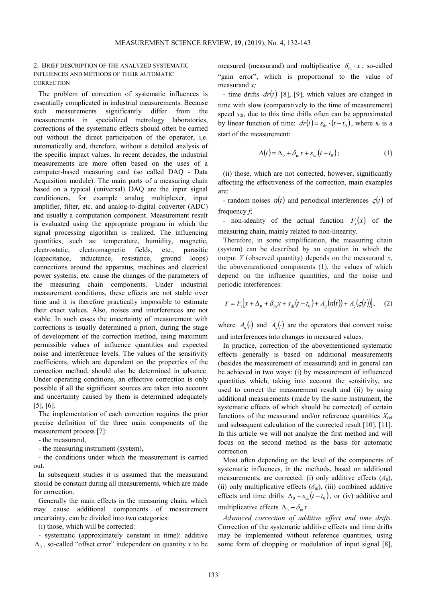## 2. BRIEF DESCRIPTION OF THE ANALYZED SYSTEMATIC INFLUENCES AND METHODS OF THEIR AUTOMATIC **CORRECTION**

The problem of correction of systematic influences is essentially complicated in industrial measurements. Because such measurements significantly differ from the measurements in specialized metrology laboratories, corrections of the systematic effects should often be carried out without the direct participation of the operator, i.e. automatically and, therefore, without a detailed analysis of the specific impact values. In recent decades, the industrial measurements are more often based on the uses of a computer-based measuring card (so called DAQ - Data Acquisition module). The main parts of a measuring chain based on a typical (universal) DAQ are the input signal conditioners, for example analog multiplexer, input amplifier, filter, etc. and analog-to-digital converter (ADC) and usually a computation component. Measurement result is evaluated using the appropriate program in which the signal processing algorithm is realized. The influencing quantities, such as: temperature, humidity, magnetic, electrostatic, electromagnetic fields, etc., parasitic (capacitance, inductance, resistance, ground loops) connections around the apparatus, machines and electrical power systems, etc. cause the changes of the parameters of the measuring chain components. Under industrial measurement conditions, these effects are not stable over time and it is therefore practically impossible to estimate their exact values. Also, noises and interferences are not stable. In such cases the uncertainty of measurement with corrections is usually determined a priori, during the stage of development of the correction method, using maximum permissible values of influence quantities and expected noise and interference levels. The values of the sensitivity coefficients, which are dependent on the properties of the correction method, should also be determined in advance. Under operating conditions, an effective correction is only possible if all the significant sources are taken into account and uncertainty caused by them is determined adequately [5], [6].

The implementation of each correction requires the prior precise definition of the three main components of the measurement process [7]:

- the measurand,

- the measuring instrument (system),

- the conditions under which the measurement is carried out.

In subsequent studies it is assumed that the measurand should be constant during all measurements, which are made for correction.

Generally the main effects in the measuring chain, which may cause additional components of measurement uncertainty, can be divided into two categories:

(i) those, which will be corrected:

- systematic (approximately constant in time): additive ∆0 , so-called "offset error" independent on quantity *x* to be

measured (measurand) and multiplicative  $\delta_{\rm m} \cdot x$ , so-called "gain error", which is proportional to the value of measurand *x;*

- time drifts  $dr(t)$  [8], [9], which values are changed in time with slow (comparatively to the time of measurement) speed  $s<sub>dr</sub>$ , due to this time drifts often can be approximated by linear function of time:  $dr(t) = s_{dr} \cdot (t - t_0)$ , where  $t_0$  is a start of the measurement:

$$
\Delta(t) = \Delta_0 + \delta_{\rm m} x + s_{\rm dr} (t - t_0); \tag{1}
$$

(ii) those, which are not corrected, however, significantly affecting the effectiveness of the correction, main examples are:

- random noises  $\eta(t)$  and periodical interferences  $\zeta(t)$  of frequency *f*;

- non-ideality of the actual function  $F_r(x)$  of the measuring chain, mainly related to non-linearity.

Therefore, in some simplification, the measuring chain (system) can be described by an equation in which the output *Y* (observed quantity) depends on the measurand *x*, the abovementioned components (1), the values of which depend on the influence quantities, and the noise and periodic interferences:

$$
Y = Fr [x + \Delta_0 + \delta_m x + s_{dr} (t - t_0) + A_\eta (\eta(t)) + A_\varsigma (\varsigma(t))], \quad (2)
$$

where  $A_n(\cdot)$  and  $A_5(\cdot)$  are the operators that convert noise and interferences into changes in measured values.

In practice, correction of the abovementioned systematic effects generally is based on additional measurements (besides the measurement of measurand) and in general can be achieved in two ways: (i) by measurement of influenced quantities which, taking into account the sensitivity, are used to correct the measurement result and (ii) by using additional measurements (made by the same instrument, the systematic effects of which should be corrected) of certain functions of the measurand and/or reference quantities *X*ref and subsequent calculation of the corrected result [10], [11]. In this article we will not analyze the first method and will focus on the second method as the basis for automatic correction.

Most often depending on the level of the components of systematic influences, in the methods, based on additional measurements, are corrected: (i) only additive effects  $(\Delta_0)$ , (ii) only multiplicative effects  $(\delta_m)$ , (iii) combined additive effects and time drifts  $\Delta_0 + s_{dr} (t - t_0)$ , or (iv) additive and multiplicative effects  $\Delta_0 + \delta_m x$ .

*Advanced correction of additive effect and time drifts.* Correction of the systematic additive effects and time drifts may be implemented without reference quantities, using some form of chopping or modulation of input signal [8],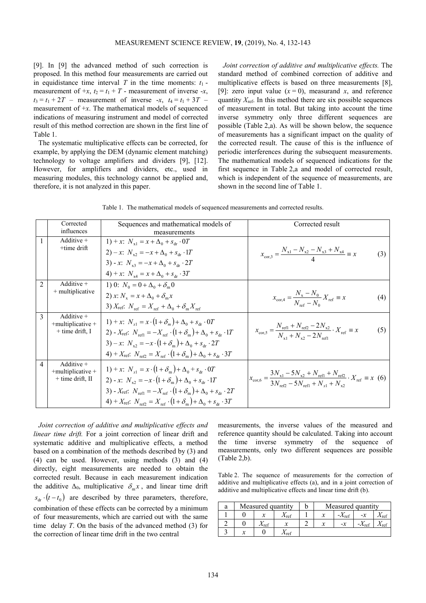[9]. In [9] the advanced method of such correction is proposed. In this method four measurements are carried out in equidistance time interval  $T$  in the time moments:  $t_1$  measurement of  $+x$ ,  $t_2 = t_1 + T$  - measurement of inverse  $-x$ ,  $t_3 = t_1 + 2T$  – measurement of inverse  $-x$ ,  $t_4 = t_1 + 3T$ measurement of +*x*. The mathematical models of sequenced indications of measuring instrument and model of corrected result of this method correction are shown in the first line of Table 1.

The systematic multiplicative effects can be corrected, for example, by applying the DEM (dynamic element matching) technology to voltage amplifiers and dividers [9], [12]. However, for amplifiers and dividers, etc., used in measuring modules, this technology cannot be applied and, therefore, it is not analyzed in this paper.

*Joint correction of additive and multiplicative effects.* The standard method of combined correction of additive and multiplicative effects is based on three measurements [8], [9]: zero input value  $(x = 0)$ , measurand *x*, and reference quantity  $X_{\text{ref}}$ . In this method there are six possible sequences of measurement in total. But taking into account the time inverse symmetry only three different sequences are possible (Table 2,a). As will be shown below, the sequence of measurements has a significant impact on the quality of the corrected result. The cause of this is the influence of periodic interferences during the subsequent measurements. The mathematical models of sequenced indications for the first sequence in Table 2,a and model of corrected result, which is independent of the sequence of measurements, are shown in the second line of Table 1.

Table 1. The mathematical models of sequenced measurements and corrected results.

|                | Corrected<br>influences                                 | Sequences and mathematical models of<br>measurements                                                                                                                                                                                                                                                                                                                                                                     | Corrected result                                                                                                                                                                              |
|----------------|---------------------------------------------------------|--------------------------------------------------------------------------------------------------------------------------------------------------------------------------------------------------------------------------------------------------------------------------------------------------------------------------------------------------------------------------------------------------------------------------|-----------------------------------------------------------------------------------------------------------------------------------------------------------------------------------------------|
| 1              | Additive $+$<br>+time drift                             | 1) + x: $N_{\rm v1} = x + \Delta_0 + s_{\rm dr} \cdot 0$<br>2) – x: $N_{s2} = -x + \Delta_0 + s_{dr} \cdot 1T$<br>3) - x: $N_{v3} = -x + \Delta_0 + s_{dr} \cdot 2T$<br>4) + x: $N_{x4} = x + \Delta_0 + s_{dr} \cdot 3T$                                                                                                                                                                                                | $x_{\text{cor,3}} = \frac{N_{\text{x1}} - N_{\text{x2}} - N_{\text{x3}} + N_{\text{x4}}}{4} \equiv x$<br>(3)                                                                                  |
| 2              | Additive $+$<br>+ multiplicative                        | 1) 0: $N_0 = 0 + \Delta_0 + \delta_m 0$<br>2) x: $N_r = x + \Delta_0 + \delta_m x$<br>3) $X_{\text{ref}}$ : $N_{\text{ref}} = X_{\text{ref}} + \Delta_0 + \delta_{\text{m}} X_{\text{ref}}$                                                                                                                                                                                                                              | $x_{\text{cor,4}} = \frac{N_x - N_0}{N_{\text{ref}} - N_0} X_{\text{ref}} \equiv x$<br>(4)                                                                                                    |
| 3              | Additive $+$<br>+multiplicative +<br>$+$ time drift, I  | 1) + x: $N_{r1} = x \cdot (1 + \delta_m) + \Delta_0 + s_{dr} \cdot 0T$<br>2) - $X_{\text{ref}}$ : $N_{\text{ref}} = -X_{\text{ref}} \cdot (1+\delta_{\text{m}}) + \Delta_0 + S_{\text{dr}} \cdot 1T$<br>3) - x: $N_{s2} = -x \cdot (1 + \delta_m) + \Delta_0 + s_{dr} \cdot 2T$<br>4) + $X_{\text{ref}}$ : $N_{\text{ref}} = X_{\text{ref}} \cdot (1 + \delta_{\text{m}}) + \Delta_0 + s_{\text{dr}} \cdot 3T$           | $x_{\text{cor},5} = \frac{N_{\text{ref1}} + N_{\text{ref2}} - 2N_{\text{x2}}}{N_{\text{f}} + N_{\text{f}}} \cdot X_{\text{ref}} \equiv x$<br>(5)                                              |
| $\overline{4}$ | Additive $+$<br>+multiplicative +<br>$+$ time drift, II | 1) + x: $N_{r1} = x \cdot (1 + \delta_m) + \Delta_0 + s_{dr} \cdot 0T$<br>2) - x: $N_{12} = -x \cdot (1 + \delta_{11}) + \Delta_0 + s_{41} \cdot 1T$<br>3) - $X_{\text{ref}}$ : $N_{\text{ref1}} = -X_{\text{ref}} \cdot (1 + \delta_{\text{eq}}) + \Delta_0 + S_{\text{def}} \cdot 2T$<br>4) + $X_{\text{ref}}$ : $N_{\text{ref}} = X_{\text{ref}} \cdot (1 + \delta_{\text{eq}}) + \Delta_0 + s_{\text{def}} \cdot 3T$ | $x_{\text{cor},6} = \frac{3N_{\text{x1}} - 5N_{\text{x2}} + N_{\text{ref1}} + N_{\text{ref2}}}{3N_{\text{c}} - 5N_{\text{c}} + N_{\text{c}} + N_{\text{c2}}}.X_{\text{ref}} \equiv x \tag{6}$ |

*Joint correction of additive and multiplicative effects and linear time drift.* For a joint correction of linear drift and systematic additive and multiplicative effects, a method based on a combination of the methods described by (3) and (4) can be used. However, using methods (3) and (4) directly, eight measurements are needed to obtain the corrected result. Because in each measurement indication the additive  $\Delta_0$ , multiplicative  $\delta_m x$ , and linear time drift  $s_{dr} \cdot (t - t_0)$  are described by three parameters, therefore, combination of these effects can be corrected by a minimum of four measurements, which are carried out with the same time delay *T*. On the basis of the advanced method (3) for the correction of linear time drift in the two central

measurements, the inverse values of the measured and reference quantity should be calculated. Taking into account the time inverse symmetry of the sequence of measurements, only two different sequences are possible (Table 2,b).

Table 2. The sequence of measurements for the correction of additive and multiplicative effects (a), and in a joint correction of additive and multiplicative effects and linear time drift (b).

| а | Measured quantity |                        |                     | Measured quantity |                         |                         |                           |  |
|---|-------------------|------------------------|---------------------|-------------------|-------------------------|-------------------------|---------------------------|--|
|   |                   |                        | $\Lambda_{\rm ref}$ |                   | $-\Lambda_{\text{ref}}$ |                         | $\mathbf{r}_{\text{ref}}$ |  |
|   |                   | $\Lambda_{\text{ref}}$ |                     | x                 | $-\chi$                 | $-\Lambda_{\text{ref}}$ | ⊾ref                      |  |
|   |                   |                        | $\Lambda_{\rm ref}$ |                   |                         |                         |                           |  |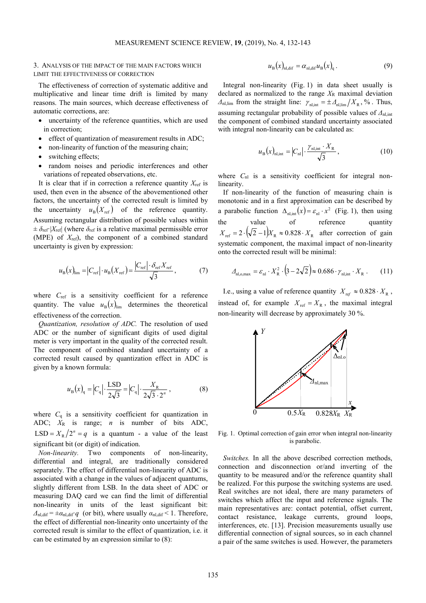## 3. ANALYSIS OF THE IMPACT OF THE MAIN FACTORS WHICH LIMIT THE EFFECTIVENESS OF CORRECTION

The effectiveness of correction of systematic additive and multiplicative and linear time drift is limited by many reasons. The main sources, which decrease effectiveness of automatic corrections, are:

- uncertainty of the reference quantities, which are used in correction;
- effect of quantization of measurement results in ADC;
- non-linearity of function of the measuring chain;
- switching effects;
- random noises and periodic interferences and other variations of repeated observations, etc.

It is clear that if in correction a reference quantity  $X_{\text{ref}}$  is used, then even in the absence of the abovementioned other factors, the uncertainty of the corrected result is limited by the uncertainty  $u_{\rm B}(X_{\rm ref})$  of the reference quantity. Assuming rectangular distribution of possible values within  $\pm \delta_{\text{ref}} |X_{\text{ref}}|$  (where  $\delta_{\text{ref}}$  is a relative maximal permissible error (MPE) of *X*ref), the component of a combined standard uncertainty is given by expression:

$$
u_{\rm B}(x)_{\rm lim} = \left|C_{\rm ref}\right| \cdot u_{\rm B}(X_{\rm ref}) = \frac{\left|C_{\rm ref}\right| \cdot \delta_{\rm ref} X_{\rm ref}}{\sqrt{3}},\tag{7}
$$

where *C*<sub>ref</sub> is a sensitivity coefficient for a reference quantity. The value  $u_{\rm B}(x)_{\rm lim}$  determines the theoretical effectiveness of the correction.

*Quantization, resolution of ADC.* The resolution of used ADC or the number of significant digits of used digital meter is very important in the quality of the corrected result. The component of combined standard uncertainty of a corrected result caused by quantization effect in ADC is given by a known formula:

$$
u_{\rm B}(x)_{\rm q} = |C_{\rm q}| \cdot \frac{\rm LSD}{2\sqrt{3}} = |C_{\rm q}| \cdot \frac{X_{\rm R}}{2\sqrt{3} \cdot 2^n} ,\qquad (8)
$$

where  $C_q$  is a sensitivity coefficient for quantization in ADC; *X*R is range; *n* is number of bits ADC,  $LSD = X_R / 2^n = q$  is a quantum - a value of the least significant bit (or digit) of indication.

*Non-linearity.* Two components of non-linearity, differential and integral, are traditionally considered separately. The effect of differential non-linearity of ADC is associated with a change in the values of adjacent quantums, slightly different from LSB. In the data sheet of ADC or measuring DAQ card we can find the limit of differential non-linearity in units of the least significant bit:  $\Delta_{nl,dif} = \pm \alpha_{nl,dif} q$  (or bit), where usually  $\alpha_{nl,dif} < 1$ . Therefore, the effect of differential non-linearity onto uncertainty of the corrected result is similar to the effect of quantization, i.e. it can be estimated by an expression similar to (8):

$$
u_{\rm B}(x)_{\rm nl,dif} = \alpha_{\rm nl,dif} u_{\rm B}(x)_{\rm q} \,. \tag{9}
$$

Integral non-linearity (Fig. 1) in data sheet usually is declared as normalized to the range  $X_R$  maximal deviation *Δ*<sub>nl,lim</sub> from the straight line:  $\gamma_{nl,int} = \pm A_{nl,lim}/X_R$ , %. Thus, assuming rectangular probability of possible values of  $Δ_{n\text{l},\text{int}}$ the component of combined standard uncertainty associated with integral non-linearity can be calculated as:

$$
u_{\rm B}(x)_{\rm nl,int} = |C_{\rm nl}| \cdot \frac{\gamma_{\rm nl,int} \cdot X_{\rm R}}{\sqrt{3}},\tag{10}
$$

where  $C_{nl}$  is a sensitivity coefficient for integral nonlinearity.

If non-linearity of the function of measuring chain is monotonic and in a first approximation can be described by a parabolic function  $\Delta_{nl, int}(x) = \varepsilon_{nl} \cdot x^2$  (Fig. 1), then using the value of reference quantity  $X_{\text{ref}} = 2 \cdot (\sqrt{2} - 1) X_{\text{R}} \approx 0.828 \cdot X_{\text{R}}$  after correction of gain systematic component, the maximal impact of non-linearity onto the corrected result will be minimal:

$$
\Delta_{\rm nl, o,max} = \varepsilon_{\rm nl} \cdot X_{\rm R}^2 \cdot (3 - 2\sqrt{2}) \approx 0.686 \cdot \gamma_{\rm nl,int} \cdot X_{\rm R} \ . \tag{11}
$$

I.e., using a value of reference quantity  $X_{\text{ref}} \approx 0.828 \cdot X_{\text{R}}$ , instead of, for example  $X_{ref} = X_R$ , the maximal integral non-linearity will decrease by approximately 30 %.



Fig. 1. Optimal correction of gain error when integral non-linearity is parabolic.

*Switches.* In all the above described correction methods, connection and disconnection or/and inverting of the quantity to be measured and/or the reference quantity shall be realized. For this purpose the switching systems are used. Real switches are not ideal, there are many parameters of switches which affect the input and reference signals. The main representatives are: contact potential, offset current, contact resistance, leakage currents, ground loops, interferences, etc. [13]. Precision measurements usually use differential connection of signal sources, so in each channel a pair of the same switches is used. However, the parameters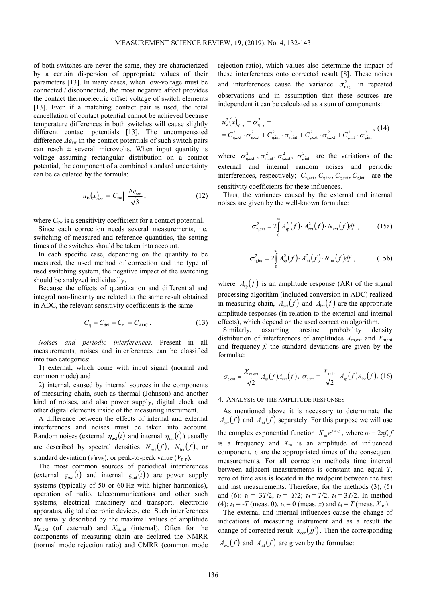of both switches are never the same, they are characterized by a certain dispersion of appropriate values of their parameters [13]. In many cases, when low-voltage must be connected / disconnected, the most negative affect provides the contact thermoelectric offset voltage of switch elements [13]. Even if a matching contact pair is used, the total cancellation of contact potential cannot be achieved because temperature differences in both switches will cause slightly different contact potentials [13]. The uncompensated difference *Δe*sw in the contact potentials of such switch pairs can reach  $\pm$  several microvolts. When input quantity is voltage assuming rectangular distribution on a contact potential, the component of a combined standard uncertainty can be calculated by the formula:

$$
u_{\rm B}(x)_{\rm sw} = |C_{\rm sw}| \cdot \frac{\Delta e_{\rm sw}}{\sqrt{3}}\,,\tag{12}
$$

where  $C_{sw}$  is a sensitivity coefficient for a contact potential.

Since each correction needs several measurements, i.e. switching of measured and reference quantities, the setting times of the switches should be taken into account.

In each specific case, depending on the quantity to be measured, the used method of correction and the type of used switching system, the negative impact of the switching should be analyzed individually.

Because the effects of quantization and differential and integral non-linearity are related to the same result obtained in ADC, the relevant sensitivity coefficients is the same:

$$
C_{\rm q} = C_{\rm dn1} = C_{\rm nl} = C_{\rm ADC} \,. \tag{13}
$$

*Noises and periodic interferences.* Present in all measurements, noises and interferences can be classified into two categories:

1) external, which come with input signal (normal and common mode) and

2) internal, caused by internal sources in the components of measuring chain, such as thermal (Johnson) and another kind of noises, and also power supply, digital clock and other digital elements inside of the measuring instrument.

A difference between the effects of internal and external interferences and noises must be taken into account. Random noises (external  $\eta_{ext}(t)$  and internal  $\eta_{int}(t)$ ) usually are described by spectral densities  $N_{\text{ext}}(f)$ ,  $N_{\text{int}}(f)$ , or standard deviation ( $V_{RMS}$ ), or peak-to-peak value ( $V_{p-p}$ ).

The most common sources of periodical interferences (external  $\zeta_{\text{ext}}(t)$  and internal  $\zeta_{\text{int}}(t)$ ) are power supply systems (typically of 50 or 60 Hz with higher harmonics), operation of radio, telecommunications and other such systems, electrical machinery and transport, electronic apparatus, digital electronic devices, etc. Such interferences are usually described by the maximal values of amplitude  $X_{m,ext}$  (of external) and  $X_{m,int}$  (internal). Often for the components of measuring chain are declared the NMRR (normal mode rejection ratio) and CMRR (common mode

rejection ratio), which values also determine the impact of these interferences onto corrected result [8]. These noises and interferences cause the variance  $\sigma_{\eta+\varsigma}^2$  in repeated observations and in assumption that these sources are independent it can be calculated as a sum of components:

$$
u_{\rm c}^2(x)_{\eta+\varsigma} = \sigma_{\eta+\varsigma}^2 =
$$
  
=  $C_{\eta,\rm ext}^2 \cdot \sigma_{\eta,\rm ext}^2 + C_{\eta,\rm int}^2 \cdot \sigma_{\eta,\rm int}^2 + C_{\varsigma,\rm ext}^2 \cdot \sigma_{\varsigma,\rm ext}^2 + C_{\varsigma,\rm int}^2 \cdot \sigma_{\varsigma,\rm int}^2$ , (14)

where  $\sigma_{\eta,ext}^2$ ,  $\sigma_{\eta,int}^2$ ,  $\sigma_{\zeta,ext}^2$ ,  $\sigma_{\zeta,int}^2$  are the variations of the external and internal random noises and periodic interferences, respectively;  $C_{\eta,ext}$ ,  $C_{\eta,int}$ ,  $C_{\zeta,ext}$ ,  $C_{\zeta,int}$  are the sensitivity coefficients for these influences.

Thus, the variances caused by the external and internal noises are given by the well-known formulae:

$$
\sigma_{\eta,ext}^2 = 2 \int_0^\infty A_{\text{sp}}^2(f) \cdot A_{\text{ext}}^2(f) \cdot N_{\text{ext}}(f) df , \qquad (15a)
$$

$$
\sigma_{\eta, \text{in}t}^2 = 2 \int_0^\infty A_{\text{sp}}^2(f) \cdot A_{\text{int}}^2(f) \cdot N_{\text{int}}(f) df , \qquad (15b)
$$

where  $A_{\rm sp}(f)$  is an amplitude response (AR) of the signal processing algorithm (included conversion in ADC) realized in measuring chain,  $A_{ext}(f)$  and  $A_{int}(f)$  are the appropriate amplitude responses (in relation to the external and internal effects), which depend on the used correction algorithm.

Similarly, assuming arcsine probability density distribution of interferences of amplitudes  $X_{m,ext}$  and  $X_{m,int}$ and frequency *f,* the standard deviations are given by the formulae:

$$
\sigma_{\varsigma,\text{ext}} = \frac{X_{\text{m,ext}}}{\sqrt{2}} A_{\text{sp}}(f) A_{\text{ext}}(f), \ \sigma_{\varsigma,\text{int}} = \frac{X_{\text{m,int}}}{\sqrt{2}} A_{\text{sp}}(f) A_{\text{int}}(f). \ (16)
$$

### 4. ANALYSIS OF THE AMPLITUDE RESPONSES

As mentioned above it is necessary to determinate the  $A_{\text{ext}}(f)$  and  $A_{\text{int}}(f)$  separately. For this purpose we will use the complex exponential function  $X_m e^{j\omega t_i}$ , where  $\omega = 2\pi f, j$ is a frequency and  $X_m$  is an amplitude of influenced component, *ti* are the appropriated times of the consequent measurements. For all correction methods time interval between adjacent measurements is constant and equal *T*, zero of time axis is located in the midpoint between the first and last measurements. Therefore, for the methods (3), (5) and (6):  $t_1 = -3T/2$ ,  $t_2 = -T/2$ ;  $t_3 = T/2$ ,  $t_4 = 3T/2$ . In method (4):  $t_1 = -T$  (meas. 0),  $t_2 = 0$  (meas. *x*) and  $t_3 = T$  (meas.  $X_{\text{ref}}$ ).

The external and internal influences cause the change of indications of measuring instrument and as a result the change of corrected result  $x_{\text{cor}}(j\hat{f})$ . Then the corresponding  $A_{\text{ext}}(f)$  and  $A_{\text{int}}(f)$  are given by the formulae: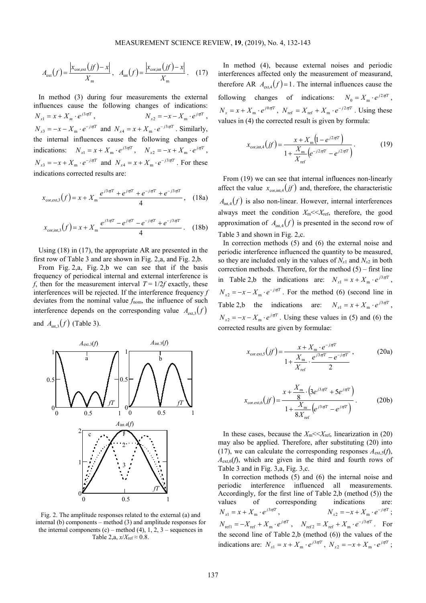$$
A_{\text{ext}}(f) = \frac{\left|x_{\text{cor,ext}}(jf) - x\right|}{X_{\text{m}}}, \quad A_{\text{int}}(f) = \frac{\left|x_{\text{cor,int}}(jf) - x\right|}{X_{\text{m}}}.
$$
 (17)

In method (3) during four measurements the external influences cause the following changes of indications:  $N_{x1} = x + X_m \cdot e^{j3\pi f T}$ ,  $N_{x2} = -x - X_{\text{m}} \cdot e^{j\pi T}$ ,  $N_{x3} = -x - X_m \cdot e^{-j\pi T}$  and  $N_{x4} = x + X_m \cdot e^{-j3\pi T}$ . Similarly, the internal influences cause the following changes of indications:  $N_{x1} = x + X_m \cdot e^{j3\pi/T}$ ,  $N_{x2} = -x + X_m \cdot e^{j\pi/T}$ ,  $N_{x3} = -x + X_{m} \cdot e^{-j\pi T}$  and  $N_{x4} = x + X_{m} \cdot e^{-j3\pi T}$ . For these indications corrected results are:

$$
x_{\text{cor,ext,3}}(f) = x + X_{\text{m}} \frac{e^{j3\pi f} + e^{j\pi f} + e^{-j\pi f} + e^{-j3\pi f}}{4}, \quad (18a)
$$

$$
x_{\text{cor,int,3}}(f) = x + X_{\text{m}} \frac{e^{j3\pi f} - e^{j\pi f} - e^{-j\pi f} + e^{-j3\pi f}}{4} \,. \tag{18b}
$$

Using (18) in (17), the appropriate AR are presented in the first row of Table 3 and are shown in Fig. 2,a, and Fig. 2,b.

From Fig. 2,a, Fig. 2,b we can see that if the basis frequency of periodical internal and external interference is *f*, then for the measurement interval  $T = 1/2f$  exactly, these interferences will be rejected. If the interference frequency *f* deviates from the nominal value  $f_{\text{nom}}$ , the influence of such interference depends on the corresponding value  $A_{\text{av-}3}(f)$ and  $A_{\text{int,3}}(f)$  (Table 3).



Fig. 2. The amplitude responses related to the external (a) and internal (b) components – method (3) and amplitude responses for the internal components  $(c)$  – method  $(4)$ , 1, 2, 3 – sequences in Table 2,a,  $x/X_{\text{ref}} \approx 0.8$ .

In method (4), because external noises and periodic interferences affected only the measurement of measurand, therefore AR  $A_{ext}( f ) = 1$ . The internal influences cause the following changes of indications:  $N_0 = X_m \cdot e^{j2\pi f T}$ ,  $N_x = x + X_m \cdot e^{j0\pi/T}$ ,  $N_{\text{ref}} = X_{\text{ref}} + X_m \cdot e^{-j2\pi/T}$ . Using these values in (4) the corrected result is given by formula:

$$
x_{\text{cor,int},4}(jf) = \frac{x + X_{\text{m}}\left(1 - e^{j2\pi f T}\right)}{1 + \frac{X_{\text{m}}}{X_{\text{ref}}}\left(e^{-j2\pi f T} - e^{j2\pi f T}\right)}.
$$
(19)

From (19) we can see that internal influences non-linearly affect the value  $x_{\text{corr int }4}(j\hat{f})$  and, therefore, the characteristic  $A<sub>int,4</sub>(f)$  is also non-linear. However, internal interferences always meet the condition  $X_{\text{m}} \ll X_{\text{ref}}$ , therefore, the good approximation of  $A_{int,4}(f)$  is presented in the second row of Table 3 and shown in Fig. 2,c.

In correction methods (5) and (6) the external noise and periodic interference influenced the quantity to be measured, so they are included only in the values of  $N_{x1}$  and  $N_{x2}$  in both correction methods. Therefore, for the method  $(5)$  – first line in Table 2,b the indications are:  $N_{x1} = x + X_m \cdot e^{j3\pi/T}$ ,  $N_{x2} = -x - X_{\text{m}} \cdot e^{-j\pi T}$ . For the method (6) (second line in Table 2,b the indications are:  $N_{x1} = x + X_m \cdot e^{j3\pi/T}$ ,  $N_{x2} = -x - X_{\text{m}} \cdot e^{j\pi T}$ . Using these values in (5) and (6) the corrected results are given by formulae:

$$
x_{\text{cor.ext,5}}(jf) = \frac{x + X_{\text{m}} \cdot e^{-j\pi T}}{1 + \frac{X_{\text{m}}}{X_{\text{ref}} \cdot e^{-j\pi T}} \cdot \frac{e^{j3\pi T} - e^{-j\pi T}}{2}},
$$
(20a)

$$
x_{\text{cor. ext,6}}(jf) = \frac{x + \frac{X_{\text{m}}}{8} \cdot (3e^{j3\pi T} + 5e^{j\pi T})}{1 + \frac{X_{\text{m}}}{8X_{\text{ref}}}(e^{j3\pi T} - e^{j\pi T})}.
$$
 (20b)

In these cases, because the  $X_{\text{m}} \ll X_{\text{ref}}$ , linearization in (20) may also be applied. Therefore, after substituting (20) into (17), we can calculate the corresponding responses  $A_{ext,5}(f)$ ,  $A_{\text{ext}}(f)$ , which are given in the third and fourth rows of Table 3 and in Fig. 3,a, Fig. 3,c.

In correction methods (5) and (6) the internal noise and periodic interference influenced all measurements. Accordingly, for the first line of Table 2,b (method (5)) the values of corresponding indications are:  $N_{x1} = x + X_{m} \cdot e^{j3\pi f T}$ ,  $N_{x2} = -x + X_{\text{m}} \cdot e^{-j\pi f T}$ ;  $N_{\text{ref1}} = -X_{\text{ref}} + X_{\text{m}} \cdot e^{j\pi T}$ ,  $N_{\text{ref2}} = X_{\text{ref}} + X_{\text{m}} \cdot e^{-j3\pi T}$ . For the second line of Table 2,b (method (6)) the values of the indications are:  $N_{x1} = x + X_m \cdot e^{j3\pi/T}$ ,  $N_{x2} = -x + X_m \cdot e^{j\pi/T}$ ;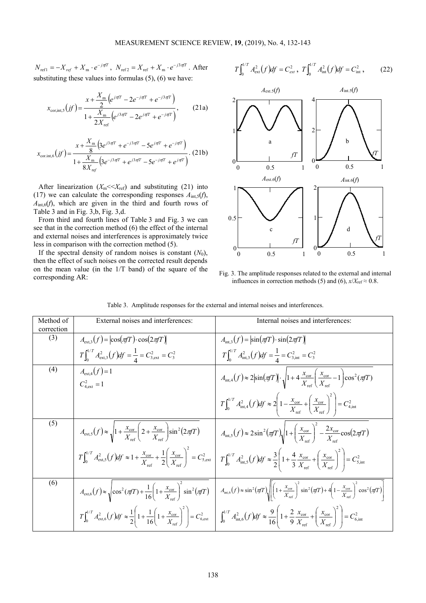$N_{\text{ref1}} = -X_{\text{ref}} + X_{\text{m}} \cdot e^{-j\pi T}$ ,  $N_{\text{ref2}} = X_{\text{ref}} + X_{\text{m}} \cdot e^{-j3\pi T}$ . After substituting these values into formulas  $(5)$ ,  $(6)$  we have:

$$
x_{\text{cor,int},5}(jf) = \frac{x + \frac{X_{\text{m}}}{2} \left(e^{j\pi fT} - 2e^{-j\pi T} + e^{-j3\pi fT}\right)}{1 + \frac{X_{\text{m}}}{2X_{\text{ref}}}\left(e^{j3\pi fT} - 2e^{j\pi fT} + e^{-j\pi fT}\right)},\tag{21a}
$$

$$
x_{\text{cor.int,6}}(jf) = \frac{x + \frac{X_{\text{m}}}{8} \left(3e^{j3\pi f} + e^{-j3\pi f} - 5e^{j\pi f} + e^{-j\pi f}\right)}{1 + \frac{X_{\text{m}}}{8X_{\text{ref}}}\left(3e^{-j3\pi f} + e^{j3\pi f} - 5e^{-j\pi f} + e^{j\pi f}\right)}.
$$
 (21b)

After linearization  $(X_m \leq X_{\text{ref}})$  and substituting (21) into (17) we can calculate the corresponding responses  $A_{int,5}(f)$ ,  $A<sub>int,6</sub>(f)$ , which are given in the third and fourth rows of Table 3 and in Fig. 3,b, Fig. 3,d.

From third and fourth lines of Table 3 and Fig. 3 we can see that in the correction method (6) the effect of the internal and external noises and interferences is approximately twice less in comparison with the correction method (5).

If the spectral density of random noises is constant  $(N_0)$ , then the effect of such noises on the corrected result depends on the mean value (in the 1/T band) of the square of the corresponding AR:

$$
T\int_0^{1/T} A_{\text{ext}}^2(f) df = C_{\text{ext}}^2, \ T\int_0^{1/T} A_{\text{int}}^2(f) df = C_{\text{int}}^2, \tag{22}
$$



Fig. 3. The amplitude responses related to the external and internal influences in correction methods (5) and (6),  $x/X_{\text{ref}} \approx 0.8$ .

| Method of<br>correction | External noises and interferences:                                                                                                                                                   | Internal noises and interferences:                                                                                                                                                                                                                                                                                                                                                      |
|-------------------------|--------------------------------------------------------------------------------------------------------------------------------------------------------------------------------------|-----------------------------------------------------------------------------------------------------------------------------------------------------------------------------------------------------------------------------------------------------------------------------------------------------------------------------------------------------------------------------------------|
| (3)                     | $A_{\text{ext,3}}(f) =  \cos(\pi T) \cdot \cos(2\pi T) $                                                                                                                             | $A_{\text{int }3}(f) =  \sin(\pi T) \cdot \sin(2\pi T) $                                                                                                                                                                                                                                                                                                                                |
|                         | $T\int_0^{1/T} A_{\text{ext},3}^2(f) df = \frac{1}{4} - C_{3,\text{ext}}^2 = C_3^2$                                                                                                  | $T\int_0^{1/T} A_{\text{int},3}^2 (f) df = \frac{1}{4} = C_{3,\text{int}}^2 = C_3^2$                                                                                                                                                                                                                                                                                                    |
| (4)                     | $A_{\rm ext,4}(f)=1$<br>$C_{4 \text{ ext}}^2 = 1$                                                                                                                                    | $A_{\text{int,4}}(f) \approx 2\left \sin(\pi T)\right  \cdot \sqrt{1 + 4\frac{x_{\text{cor}}}{X_{\text{ref}}}} \left(\frac{x_{\text{cor}}}{X_{\text{ref}}} - 1\right)\cos^2(\pi T)$                                                                                                                                                                                                     |
|                         |                                                                                                                                                                                      | $T\int_0^{1/T} A_{\text{int,4}}^2(f) df \approx 2 \left(1 - \frac{x_{\text{cor}}}{X_{\text{ref}}} + \left(\frac{x_{\text{cor}}}{X_{\text{ref}}}\right)^2\right) = C_{4,\text{int}}^2$                                                                                                                                                                                                   |
| (5)                     | $A_{\text{ext},5}(f) \approx \sqrt{1 + \frac{x_{\text{cor}}}{X_{\text{cor}}}} \left( 2 + \frac{x_{\text{cor}}}{X_{\text{cor}}} \right) \sin^2(2\pi f T)$                             | $A_{\text{int},S}(f) \approx 2\sin^2(\pi f)\sqrt{1+\left(\frac{x_{\text{cor}}}{X}\right)^2-\frac{2x_{\text{cor}}}{X}}\cos(2\pi f)$                                                                                                                                                                                                                                                      |
|                         | $T\int_0^{1/T} A_{\text{ext},S}^2(f) df \approx 1 + \frac{x_{\text{cor}}}{X_{\text{ref}}} + \frac{1}{2} \left( \frac{x_{\text{cor}}}{X_{\text{ref}}} \right)^2 = C_{5,\text{ext}}^2$ | $T\int_0^{1/T} A_{\text{int},5}^2(f) df \approx \frac{3}{2} \left(1 + \frac{4}{3} \frac{x_{\text{cor}}}{X_{\text{ref}}} + \left(\frac{x_{\text{cor}}}{X_{\text{ref}}}\right)^2 \right) = C_{5,\text{int}}^2$                                                                                                                                                                            |
| (6)                     | $A_{\text{ext,6}}(f) \approx \sqrt{\cos^2\left(\pi f\right) + \frac{1}{16}\left(1 + \frac{x_{\text{cor}}}{X_{\text{max}}}\right)^2 \sin^2\left(\pi f\right)}$                        | $A_{\text{int,6}}(f) \approx \sin^2(\pi f) \sqrt{\left(1 + \frac{x_{\text{cor}}}{X_{\text{ref}}}\right)^2 \sin^2(\pi f) + 4\left(1 - \frac{x_{\text{cor}}}{X_{\text{ref}}}\right)^2 \cos^2(\pi f)}$                                                                                                                                                                                     |
|                         |                                                                                                                                                                                      | $T\int_0^{1/T} A_{\text{ext,6}}^2(f)df \approx \frac{1}{2} \left(1 + \frac{1}{16} \left(1 + \frac{x_{\text{cor}}}{X_{\text{ref}}}\right)^2\right) = C_{6,\text{ext}}^2 \left[ \int_0^{1/T} A_{\text{int,6}}^2(f)df \approx \frac{9}{16} \left(1 + \frac{2}{9} \frac{x_{\text{cor}}}{X_{\text{ref}}} + \left(\frac{x_{\text{cor}}}{X_{\text{ref}}}\right)^2\right) = C_{6,\text{int}}^2$ |

Table 3. Amplitude responses for the external and internal noises and interferences.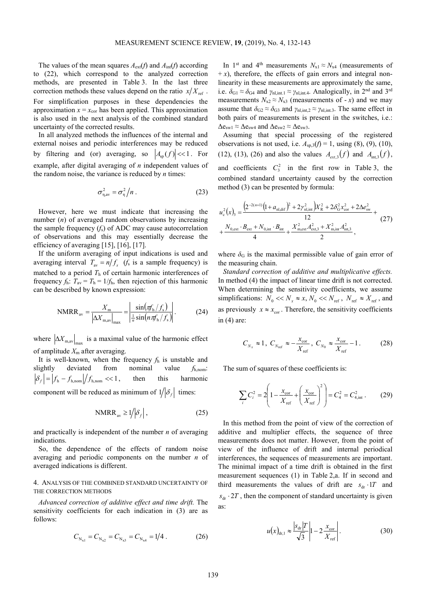The values of the mean squares  $A_{ext}(f)$  and  $A_{int}(f)$  according to (22), which correspond to the analyzed correction methods, are presented in Table 3. In the last three correction methods these values depend on the ratio  $x/X_{ref}$ . For simplification purposes in these dependencies the approximation  $x = x_{\text{cor}}$  has been applied. This approximation is also used in the next analysis of the combined standard uncertainty of the corrected results.

In all analyzed methods the influences of the internal and external noises and periodic interferences may be reduced by filtering and (or) averaging, so  $|A_{\rm so}(f)| \ll 1$ . For example, after digital averaging of *n* independent values of the random noise, the variance is reduced by *n* times:

$$
\sigma_{\eta, \text{av}}^2 = \sigma_{\eta}^2 / n \,. \tag{23}
$$

However, here we must indicate that increasing the number (*n*) of averaged random observations by increasing the sample frequency  $(f_s)$  of ADC may cause autocorrelation of observations and this may essentially decrease the efficiency of averaging [15], [16], [17].

If the uniform averaging of input indications is used and averaging interval  $T_{av} = n/f_s$  (*f<sub>s</sub>* is a sample frequency) is matched to a period *T*h of certain harmonic interferences of frequency  $f_h$ :  $T_{av} = T_h = 1/f_h$ , then rejection of this harmonic can be described by known expression:

NMRR<sub>av</sub> = 
$$
\frac{X_m}{\left|\Delta X_{\text{max}}\right|_{\text{max}}} = \left|\frac{\sin(\pi f_h/f_s)}{\frac{1}{n}\sin(n\pi f_h/f_s)}\right|
$$
. (24)

where  $|\Delta X_{\text{m},\text{av}}|_{\text{max}}$  is a maximal value of the harmonic effect of amplitude  $X<sub>m</sub>$  after averaging.

It is well-known, when the frequency *f*h is unstable and slightly deviated from nominal value *f*h,nom:  $\delta_f$  =  $f_h - f_{h,nom}/f_{h,nom}$  << 1, then this harmonic component will be reduced as minimum of  $1/|\delta_f|$  times:

$$
NMRR_{\text{av}} \ge 1 / |\delta_f|, \tag{25}
$$

and practically is independent of the number *n* of averaging indications.

So, the dependence of the effects of random noise averaging and periodic components on the number *n* of averaged indications is different.

## 4. ANALYSIS OF THE COMBINED STANDARD UNCERTAINTY OF THE CORRECTION METHODS

*Advanced correction of additive effect and time drift.* The sensitivity coefficients for each indication in (3) are as follows:

$$
C_{N_{x1}} = C_{N_{x2}} = C_{N_{x3}} = C_{N_{x4}} = 1/4.
$$
 (26)

In 1<sup>st</sup> and 4<sup>th</sup> measurements  $N_{x1} \approx N_{x4}$  (measurements of  $+x$ ), therefore, the effects of gain errors and integral nonlinearity in these measurements are approximately the same, i.e.  $\delta_{G1} \approx \delta_{G4}$  and  $\gamma_{nl,int,1} \approx \gamma_{nl,int,4}$ . Analogically, in 2<sup>nd</sup> and 3<sup>rd</sup> measurements  $N_{x2} \approx N_{x3}$  (measurements of - *x*) and we may assume that  $\delta_{G2} \approx \delta_{G3}$  and  $\gamma_{nl,int,2} \approx \gamma_{nl,int,3}$ . The same effect in both pairs of measurements is present in the switches, i.e.:  $\Delta e_{sw1} \approx \Delta e_{sw4}$  and  $\Delta e_{sw2} \approx \Delta e_{sw3}$ .

Assuming that special processing of the registered observations is not used, i.e.  $A_{sp,3}(f) = 1$ , using (8), (9), (10),  $(12)$ ,  $(13)$ ,  $(26)$  and also the values  $A_{ext,3}(f)$  and  $A_{int,3}(f)$ , and coefficients  $C_3^2$  in the first row in Table 3, the combined standard uncertainty caused by the correction method (3) can be presented by formula:

$$
u_{\rm c}^{2}(x)_{\rm 3} = \frac{\left(2^{-2(n+1)}\left(1+a_{\rm n,dir}\right)^{2} + 2\gamma_{\rm n,int}^{2}\right)X_{\rm R}^{2} + 2\delta_{\rm G}^{2}x_{\rm cor}^{2} + 2\Delta e_{\rm sw}^{2}}{12} + \frac{N_{\rm 0,ext} \cdot B_{\rm ext} + N_{\rm 0,int} \cdot B_{\rm int}}{4} + \frac{X_{\rm m,ext}^{2}A_{\rm ext,3}^{2} + X_{\rm m,inf}^{2}A_{\rm int,3}^{2}}{2},
$$
\n(27)

where  $\delta_{\rm G}$  is the maximal permissible value of gain error of the measuring chain.

*Standard correction of additive and multiplicative effects.* In method (4) the impact of linear time drift is not corrected. When determining the sensitivity coefficients, we assume simplifications:  $N_0 \ll N_x \approx x, N_0 \ll N_{\text{ref}}$ ,  $N_{\text{ref}} \approx X_{\text{ref}}$ , and as previously  $x \approx x_{\text{cor}}$ . Therefore, the sensitivity coefficients in (4) are:

$$
C_{N_x} \approx 1, \ C_{N_{\text{ref}}} \approx -\frac{x_{\text{cor}}}{X_{\text{ref}}}, \ C_{N_0} \approx \frac{x_{\text{cor}}}{X_{\text{ref}}} - 1. \tag{28}
$$

The sum of squares of these coefficients is:

$$
\sum_{i} C_{i}^{2} = 2 \left( 1 - \frac{x_{\text{cor}}}{X_{\text{ref}}} + \left( \frac{x_{\text{cor}}}{X_{\text{ref}}} \right)^{2} \right) = C_{4}^{2} = C_{4,\text{int}}^{2} \,. \tag{29}
$$

In this method from the point of view of the correction of additive and multiplier effects, the sequence of three measurements does not matter. However, from the point of view of the influence of drift and internal periodical interferences, the sequences of measurements are important. The minimal impact of a time drift is obtained in the first measurement sequences (1) in Table 2,a. If in second and third measurements the values of drift are  $s_{dr} \cdot 1T$  and  $s_{dr}$  ⋅ 2*T*, then the component of standard uncertainty is given as:

$$
u(x)_{\text{dr},1} \approx \frac{|s_{\text{dr}}|T}{\sqrt{3}} \left| 1 - 2 \frac{x_{\text{cor}}}{X_{\text{ref}}}\right|.
$$
 (30)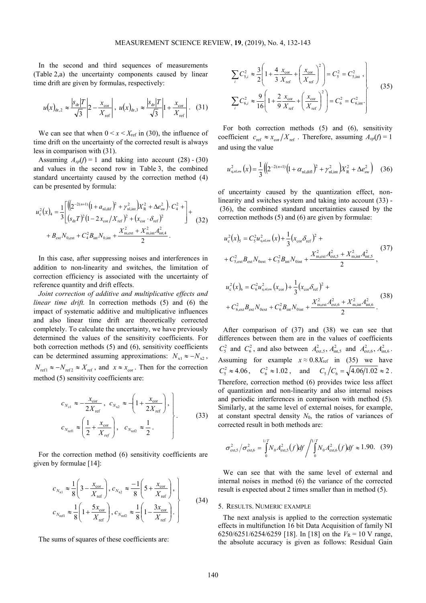In the second and third sequences of measurements (Table 2,a) the uncertainty components caused by linear time drift are given by formulas, respectively:

$$
u(x)_{\text{dr},2} \approx \frac{|s_{\text{dr}}|T}{\sqrt{3}} \left| 2 - \frac{x_{\text{cor}}}{X_{\text{ref}}} \right|, \ u(x)_{\text{dr},3} \approx \frac{|s_{\text{dr}}|T}{\sqrt{3}} \left| 1 + \frac{x_{\text{cor}}}{X_{\text{ref}}} \right|.
$$
 (31)

We can see that when  $0 \le x \le X_{\text{ref}}$  in (30), the influence of time drift on the uncertainty of the corrected result is always less in comparison with (31).

Assuming  $A_{sp}(f) = 1$  and taking into account (28) - (30) and values in the second row in Table 3, the combined standard uncertainty caused by the correction method (4) can be presented by formula:

$$
u_{c}^{2}(x)_{4} = \frac{1}{3} \left[ \left( \left( 2^{-2(n+1)} \left( 1 + a_{n1, \text{dif}} \right)^{2} + \gamma_{n1, \text{int}}^{2} \right) X_{R}^{2} + \Delta e_{\text{sw}}^{2} \right) \cdot C_{4}^{2} + \right] + \left[ \left( s_{\text{dr}} T \right)^{2} \left( 1 - 2 x_{\text{cor}} / X_{\text{ref}} \right)^{2} + \left( x_{\text{cor}} \cdot \delta_{\text{ref}} \right)^{2} + \left( s_{\text{ext}} N_{0, \text{ext}} + C_{4}^{2} B_{\text{int}} N_{0, \text{int}} + \frac{X_{\text{m,ext}}^{2} + X_{\text{m,int}}^{2} A_{\text{int}}^{2}}{2} \right] + \left( 32 \right)
$$

In this case, after suppressing noises and interferences in addition to non-linearity and switches, the limitation of correction efficiency is associated with the uncertainty of reference quantity and drift effects.

*Joint correction of additive and multiplicative effects and linear time drift.* In correction methods (5) and (6) the impact of systematic additive and multiplicative influences and also linear time drift are theoretically corrected completely. To calculate the uncertainty, we have previously determined the values of the sensitivity coefficients. For both correction methods (5) and (6), sensitivity coefficients can be determined assuming approximations:  $N_{x1} \approx -N_{x2}$ ,  $N_{\text{ref1}} \approx -N_{\text{ref2}} \approx X_{\text{ref}}$ , and  $x \approx x_{\text{cor}}$ . Then for the correction method (5) sensitivity coefficients are:

$$
c_{N_{x1}} \approx -\frac{x_{\text{cor}}}{2X_{\text{ref}}}, \ c_{N_{x2}} \approx \left(1 + \frac{x_{\text{cor}}}{2X_{\text{ref}}}\right),
$$
  

$$
c_{N_{\text{ref1}}} \approx \left(\frac{1}{2} + \frac{x_{\text{cor}}}{X_{\text{ref}}}\right), \ c_{N_{\text{ref2}}} \approx \frac{1}{2}.
$$
 (33)

For the correction method (6) sensitivity coefficients are given by formulae [14]:

$$
c_{N_{\rm x1}} \approx \frac{1}{8} \left( 3 - \frac{x_{\rm cor}}{X_{\rm ref}} \right), c_{N_{\rm x2}} \approx \frac{-1}{8} \left( 5 + \frac{x_{\rm cor}}{X_{\rm ref}} \right),
$$
  

$$
c_{N_{\rm ref1}} \approx \frac{1}{8} \left( 1 + \frac{5x_{\rm cor}}{X_{\rm ref}} \right), c_{N_{\rm ref2}} \approx \frac{1}{8} \left( 1 - \frac{3x_{\rm cor}}{X_{\rm ref}} \right).
$$
 (34)

The sums of squares of these coefficients are:

$$
\sum_{i} C_{5,i}^{2} \approx \frac{3}{2} \left( 1 + \frac{4}{3} \frac{x_{\text{cor}}}{X_{\text{ref}}} + \left( \frac{x_{\text{cor}}}{X_{\text{ref}}} \right)^{2} \right) = C_{5}^{2} = C_{5,\text{int}}^{2} ,
$$
\n
$$
\sum_{i} C_{6,i}^{2} \approx \frac{9}{16} \left( 1 + \frac{2}{9} \frac{x_{\text{cor}}}{X_{\text{ref}}} + \left( \frac{x_{\text{cor}}}{X_{\text{ref}}} \right)^{2} \right) = C_{6}^{2} = C_{6,\text{int}}^{2} .
$$
\n(35)

For both correction methods (5) and (6), sensitivity coefficient  $c_{\text{ref}} \approx x_{\text{cor}} / X_{\text{ref}}$ . Therefore, assuming  $A_{sp}(f) = 1$ and using the value

$$
u_{\text{q,nl,sw}}^2(x) = \frac{1}{3} \left( \left( 2^{-2(n+1)} \left( 1 + \alpha_{\text{nl,diff}} \right)^2 + \gamma_{\text{nl,int}}^2 \right) X_{\text{R}}^2 + \Delta e_{\text{sw}}^2 \right) \tag{36}
$$

of uncertainty caused by the quantization effect, nonlinearity and switches system and taking into account (33) - (36), the combined standard uncertainties caused by the correction methods (5) and (6) are given by formulae:

$$
u_{c}^{2}(x)_{5} = C_{5}^{2} u_{q,nl,sw}^{2}(x) + \frac{1}{3} (x_{cor}\delta_{ref})^{2} + C_{5,ext}^{2} B_{ext} N_{0ext} + C_{5}^{2} B_{int} N_{0int} + \frac{X_{m,ext}^{2} A_{ext,5}^{2} + X_{m,int}^{2} A_{int,5}^{2}}{2},
$$
\n(37)

$$
u_c^2(x)_6 = C_6^2 u_{q,nl,sw}^2(x_{cor}) + \frac{1}{3} (x_{cor}\delta_{ref})^2 + C_{6,ext}^2 B_{ext} N_{0ext} + C_6^2 B_{int} N_{0int} + \frac{X_{m,ext}^2 A_{ext,6}^2 + X_{m,int}^2 A_{int,6}^2}{2}.
$$
 (38)

After comparison of (37) and (38) we can see that differences between them are in the values of coefficients  $C_5^2$  and  $C_6^2$ , and also between  $A_{ext,5}^2$ ,  $A_{int,5}^2$  and  $A_{ext,6}^2$ ,  $A_{int,6}^2$ . Assuming for example  $x \approx 0.8X_{\text{ref}}$  in (35) we have  $C_5^2 \approx 4.06$ ,  $C_6^2 \approx 1.02$ , and  $C_5/C_6 = \sqrt{4.06/1.02} \approx 2$ . Therefore, correction method (6) provides twice less affect of quantization and non-linearity and also internal noises and periodic interferences in comparison with method (5). Similarly, at the same level of external noises, for example, at constant spectral density *N*0, the ratios of variances of corrected result in both methods are:

$$
\sigma_{\text{ext},5}^2 / \sigma_{\text{ext},6}^2 = \int_0^{1/T} N_0 A_{\text{ext},5}^2 (f) df / \int_0^{1/T} N_0 A_{\text{ext},6}^2 (f) df \approx 1.90. \quad (39)
$$

We can see that with the same level of external and internal noises in method (6) the variance of the corrected result is expected about 2 times smaller than in method (5).

#### 5. RESULTS. NUMERIC EXAMPLE

The next analysis is applied to the correction systematic effects in multifunction 16 bit Data Acquisition of family NI 6250/6251/6254/6259 [18]. In [18] on the  $V_R = 10$  V range, the absolute accuracy is given as follows: Residual Gain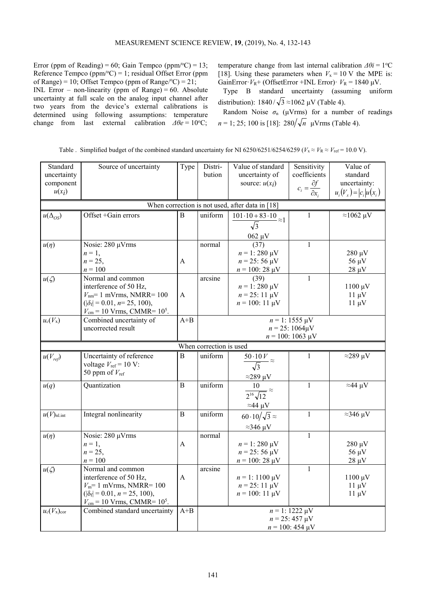Error (ppm of Reading) = 60; Gain Tempco (ppm/ $\textdegree$ C) = 13; Reference Tempco (ppm/ $^{\circ}$ C) = 1; residual Offset Error (ppm of Range) = 10; Offset Tempco (ppm of Range/ $^{\circ}$ C) = 21;

INL Error – non-linearity (ppm of Range) =  $60$ . Absolute uncertainty at full scale on the analog input channel after two years from the device's external calibrations is determined using following assumptions: temperature change from last external calibration  $\Delta \theta e = 10^{\circ}$ C; temperature change from last internal calibration  $\Delta \theta i = 1$ <sup>o</sup>C [18]. Using these parameters when  $V_x = 10$  V the MPE is: GainError· $V_R$ + (OffsetError +INL Error)·  $V_R$  = 1840  $\mu$ V.

Type B standard uncertainty (assuming uniform distribution):  $1840/\sqrt{3} \approx 1062 \text{ }\mu\text{V}$  (Table 4).

Random Noise  $\sigma_n$  ( $\mu V$ rms) for a number of readings *n* = 1; 25; 100 is [18]:  $280/\sqrt{n}$  μVrms (Table 4).

|  | Table . Simplified budget of the combined standard uncertainty for NI 6250/6251/6254/6259 ( $V_x \approx V_{\text{re}} = 10.0 \text{ V}$ ). |  |  |  |
|--|---------------------------------------------------------------------------------------------------------------------------------------------|--|--|--|
|  |                                                                                                                                             |  |  |  |

| Standard<br>uncertainty<br>component<br>$u(x_i)$ | Source of uncertainty                                                   | Type           | Distri-<br>bution                                                                                                             | Value of standard<br>uncertainty of<br>source: $u(x_i)$               | Sensitivity<br>coefficients<br>$c_i = \frac{\partial f}{\partial x_i}$ | Value of<br>standard<br>uncertainty:<br>$u_i(V_x) =  c_i  u(x_i)$ |  |  |  |
|--------------------------------------------------|-------------------------------------------------------------------------|----------------|-------------------------------------------------------------------------------------------------------------------------------|-----------------------------------------------------------------------|------------------------------------------------------------------------|-------------------------------------------------------------------|--|--|--|
| When correction is not used, after data in [18]  |                                                                         |                |                                                                                                                               |                                                                       |                                                                        |                                                                   |  |  |  |
| $u(\Delta_{OS})$                                 | Offset +Gain errors                                                     | B              | uniform                                                                                                                       | $\frac{101\cdot10+83\cdot10}{\sqrt{3}}\approx1$                       | 1                                                                      | $\approx$ 1062 µV                                                 |  |  |  |
|                                                  |                                                                         |                |                                                                                                                               |                                                                       |                                                                        |                                                                   |  |  |  |
| $u(\eta)$                                        | Nosie: 280 µVrms                                                        |                | normal                                                                                                                        | $\frac{062 \text{ }\mu\text{V}}{(37)}$                                | $\mathbf{1}$                                                           |                                                                   |  |  |  |
|                                                  | $n=1$ ,                                                                 |                |                                                                                                                               | $n = 1:280 \text{ }\mu\text{V}$                                       |                                                                        | $280 \mu V$                                                       |  |  |  |
|                                                  | $n = 25$ ,                                                              | A              |                                                                                                                               | $n = 25:56 \text{ }\mu\text{V}$                                       |                                                                        | $56 \mu V$                                                        |  |  |  |
|                                                  | $n = 100$                                                               |                |                                                                                                                               | $n = 100$ : 28 $\mu$ V                                                |                                                                        | $28 \mu V$                                                        |  |  |  |
| $u(\zeta)$                                       | Normal and common                                                       |                | arcsine                                                                                                                       | (39)                                                                  | $\mathbf{1}$                                                           |                                                                   |  |  |  |
|                                                  | interference of 50 Hz,                                                  |                |                                                                                                                               | $n = 1:280 \mu V$                                                     |                                                                        | $1100 \mu V$                                                      |  |  |  |
|                                                  | $V_{nm}$ = 1 mVrms, NMRR= 100<br>$( \delta_f  = 0.01, n = 25, 100),$    | A              |                                                                                                                               | $n = 25:11 \text{ }\mu\text{V}$<br>$n = 100$ : 11 µV                  |                                                                        | $11 \mu V$<br>$11 \mu V$                                          |  |  |  |
|                                                  | $V_{\rm cm}$ = 10 Vrms, CMMR= 10 <sup>5</sup> .                         |                |                                                                                                                               |                                                                       |                                                                        |                                                                   |  |  |  |
| $u_c(V_{\rm x})$                                 | Combined uncertainty of                                                 | $A + B$        | $n = 1: 1555 \text{ }\mu\text{V}$                                                                                             |                                                                       |                                                                        |                                                                   |  |  |  |
|                                                  | uncorrected result                                                      |                | $n = 25:1064 \mu V$                                                                                                           |                                                                       |                                                                        |                                                                   |  |  |  |
|                                                  |                                                                         |                | $n = 100$ : 1063 µV                                                                                                           |                                                                       |                                                                        |                                                                   |  |  |  |
|                                                  |                                                                         |                | When correction is used                                                                                                       |                                                                       |                                                                        |                                                                   |  |  |  |
| $u(V_{ref})$                                     | Uncertainty of reference                                                | B              | uniform                                                                                                                       | $\frac{50.10 V}{\sqrt{3}} \approx$                                    | 1                                                                      | $\approx$ 289 µV                                                  |  |  |  |
|                                                  | voltage $V_{\text{ref}} = 10 \text{ V}$ :<br>50 ppm of $V_{\text{ref}}$ |                |                                                                                                                               |                                                                       |                                                                        |                                                                   |  |  |  |
|                                                  |                                                                         |                |                                                                                                                               |                                                                       |                                                                        |                                                                   |  |  |  |
| u(q)                                             | Quantization                                                            | B              | $\frac{\approx 289 \text{ }\mu\text{V}}{10} \approx \frac{10}{2^{16}\sqrt{12}}$<br>uniform<br>$\approx$ 44 µV<br>$\mathbf{1}$ |                                                                       |                                                                        |                                                                   |  |  |  |
|                                                  |                                                                         |                |                                                                                                                               |                                                                       |                                                                        |                                                                   |  |  |  |
|                                                  |                                                                         |                |                                                                                                                               |                                                                       |                                                                        |                                                                   |  |  |  |
| $u(V)_{\text{nl.int}}$                           | Integral nonlinearity                                                   | $\overline{B}$ | uniform                                                                                                                       | $\frac{\approx 44 \text{ }\mu\text{V}}{60 \cdot 10/\sqrt{3}} \approx$ | $\mathbf{1}$                                                           | $\approx$ 346 µV                                                  |  |  |  |
|                                                  |                                                                         |                |                                                                                                                               | $\approx$ 346 µV                                                      |                                                                        |                                                                   |  |  |  |
| $u(\eta)$                                        | Nosie: 280 µVrms                                                        |                | normal                                                                                                                        |                                                                       | $\mathbf{1}$                                                           |                                                                   |  |  |  |
|                                                  | $n=1,$                                                                  | A              |                                                                                                                               | $n = 1:280 \mu V$                                                     |                                                                        | $280 \mu V$                                                       |  |  |  |
|                                                  | $n = 25$ ,<br>$n = 100$                                                 |                |                                                                                                                               | $n = 25:56 \text{ }\mu\text{V}$                                       |                                                                        | $56 \mu V$                                                        |  |  |  |
| $u(\zeta)$                                       | Normal and common                                                       |                | arcsine                                                                                                                       | $n = 100$ : 28 µV                                                     | $\mathbf{1}$                                                           | $28 \mu V$                                                        |  |  |  |
|                                                  | interference of 50 Hz,                                                  | A              |                                                                                                                               | $n = 1:1100 \mu V$                                                    |                                                                        | $1100 \mu V$                                                      |  |  |  |
|                                                  | $V_m$ = 1 mVrms, NMRR= 100                                              |                |                                                                                                                               | $n = 25:11 \text{ }\mu\text{V}$                                       |                                                                        | $11 \mu V$                                                        |  |  |  |
|                                                  | $( \delta_f  = 0.01, n = 25, 100),$                                     |                |                                                                                                                               | $n = 100$ : 11 $\mu$ V                                                |                                                                        | $11 \mu V$                                                        |  |  |  |
|                                                  | $V_{\rm cm}$ = 10 Vrms, CMMR= 10 <sup>5</sup> .                         |                |                                                                                                                               |                                                                       |                                                                        |                                                                   |  |  |  |
| $u_c(V_{\rm x})_{\rm cor}$                       | Combined standard uncertainty                                           | $A + B$        | $n = 1:1222 \mu\overline{V}$                                                                                                  |                                                                       |                                                                        |                                                                   |  |  |  |
|                                                  |                                                                         |                | $n = 25:457 \text{ }\mu\text{V}$                                                                                              |                                                                       |                                                                        |                                                                   |  |  |  |
|                                                  |                                                                         |                | $n = 100$ : 454 µV                                                                                                            |                                                                       |                                                                        |                                                                   |  |  |  |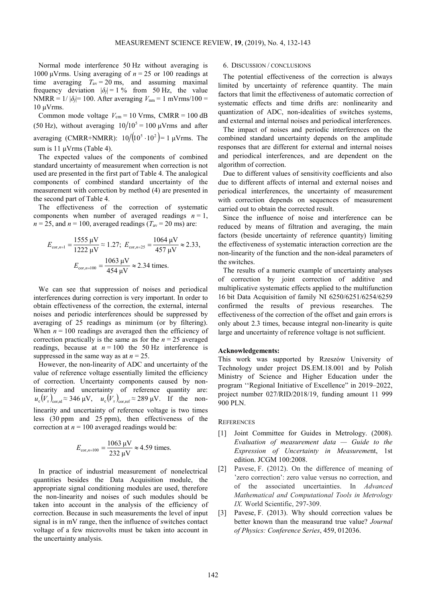Normal mode interference 50 Hz without averaging is 1000 μVrms. Using averaging of *n* = 25 or 100 readings at time averaging  $T_{av} = 20$  ms, and assuming maximal frequency deviation  $|\delta_f| = 1$  % from 50 Hz, the value NMRR =  $1/|\delta_f|$ = 100. After averaging  $V_{nm}$  = 1 mVrms/100 = 10 μVrms.

Common mode voltage  $V_{\text{cm}} = 10$  Vrms, CMRR = 100 dB (50 Hz), without averaging  $10/10^5 = 100 \mu\text{V}$ rms and after averaging (CMRR+NMRR):  $10/[10^5 \cdot 10^2] = 1 \text{ \mu V}$ rms. The sum is 11 μVrms (Table 4).

The expected values of the components of combined standard uncertainty of measurement when correction is not used are presented in the first part of Table 4. The analogical components of combined standard uncertainty of the measurement with correction by method (4) are presented in the second part of Table 4.

The effectiveness of the correction of systematic components when number of averaged readings  $n = 1$ ,  $n = 25$ , and  $n = 100$ , averaged readings ( $T_{av} = 20$  ms) are:

$$
E_{\text{cor},n=1} = \frac{1555 \text{ }\mu\text{V}}{1222 \text{ }\mu\text{V}} \approx 1.27; \ E_{\text{cor},n=25} = \frac{1064 \text{ }\mu\text{V}}{457 \text{ }\mu\text{V}} \approx 2.33,
$$

$$
E_{\text{cor},n=100} = \frac{1063 \text{ }\mu\text{V}}{454 \text{ }\mu\text{V}} \approx 2.34 \text{ times.}
$$

We can see that suppression of noises and periodical interferences during correction is very important. In order to obtain effectiveness of the correction, the external, internal noises and periodic interferences should be suppressed by averaging of 25 readings as minimum (or by filtering). When  $n = 100$  readings are averaged then the efficiency of correction practically is the same as for the  $n = 25$  averaged readings, because at  $n = 100$  the 50 Hz interference is suppressed in the same way as at  $n = 25$ .

However, the non-linearity of ADC and uncertainty of the value of reference voltage essentially limited the efficiency of correction. Uncertainty components caused by nonlinearity and uncertainty of reference quantity are:  $u_{\rm c}(V_{\rm x})_{\rm cor,nl} \approx 346 \,\mu\text{V}, \quad u_{\rm c}(V_{\rm x})_{\rm cor,ref} \approx 289 \,\mu\text{V}.$  If the nonlinearity and uncertainty of reference voltage is two times less (30 ppm and 25 ppm), then effectiveness of the correction at  $n = 100$  averaged readings would be:

$$
E_{\text{cor},n=100} = \frac{1063 \text{ }\mu\text{V}}{232 \text{ }\mu\text{V}} \approx 4.59 \text{ times.}
$$

In practice of industrial measurement of nonelectrical quantities besides the Data Acquisition module, the appropriate signal conditioning modules are used, therefore the non-linearity and noises of such modules should be taken into account in the analysis of the efficiency of correction. Because in such measurements the level of input signal is in mV range, then the influence of switches contact voltage of a few microvolts must be taken into account in the uncertainty analysis.

## 6. DISCUSSION / CONCLUSIONS

The potential effectiveness of the correction is always limited by uncertainty of reference quantity. The main factors that limit the effectiveness of automatic correction of systematic effects and time drifts are: nonlinearity and quantization of ADC, non-idealities of switches systems, and external and internal noises and periodical interferences.

The impact of noises and periodic interferences on the combined standard uncertainty depends on the amplitude responses that are different for external and internal noises and periodical interferences, and are dependent on the algorithm of correction.

Due to different values of sensitivity coefficients and also due to different affects of internal and external noises and periodical interferences, the uncertainty of measurement with correction depends on sequences of measurement carried out to obtain the corrected result.

Since the influence of noise and interference can be reduced by means of filtration and averaging, the main factors (beside uncertainty of reference quantity) limiting the effectiveness of systematic interaction correction are the non-linearity of the function and the non-ideal parameters of the switches.

The results of a numeric example of uncertainty analyses of correction by joint correction of additive and multiplicative systematic effects applied to the multifunction 16 bit Data Acquisition of family NI 6250/6251/6254/6259 confirmed the results of previous researches. The effectiveness of the correction of the offset and gain errors is only about 2.3 times, because integral non-linearity is quite large and uncertainty of reference voltage is not sufficient.

#### **Acknowledgements:**

This work was supported by Rzeszów University of Technology under project DS.EM.18.001 and by Polish Ministry of Science and Higher Education under the program ''Regional Initiative of Excellence" in 2019–2022, project number 027/RID/2018/19, funding amount 11 999 900 PLN.

## **REFERENCES**

- [1] Joint Committee for Guides in Metrology. (2008). *Evaluation of measurement data — Guide to the Expression of Uncertainty in Measureme*nt, 1st edition. JCGM 100:2008.
- [2] Pavese, F. (2012). On the difference of meaning of 'zero correction': zero value versus no correction, and of the associated uncertainties. In *Advanced Mathematical and Computational Tools in Metrology IX.* World Scientific, 297-309.
- [3] Pavese, F. (2013). Why should correction values be better known than the measurand true value? *Journal of Physics: Conference Series*, 459, 012036.